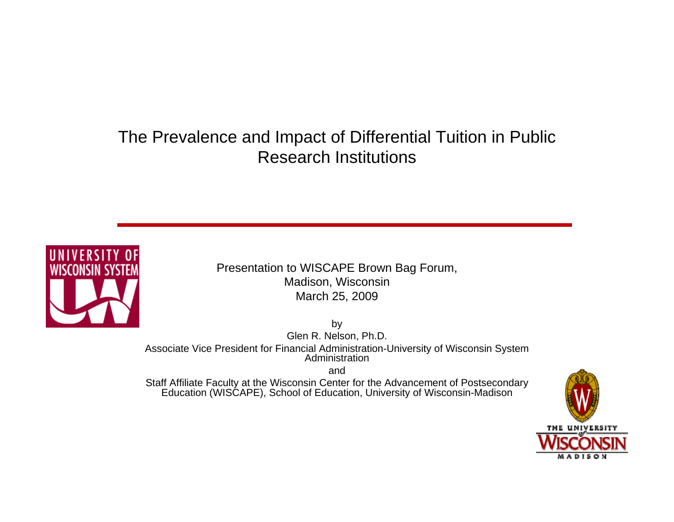## The Prevalence and Impact of Differential Tuition in Public Research Institutions



Presentation to WISCAPE Brown Bag Forum, Madison, Wisconsin March 25, 2009

by Glen R. Nelson, Ph.D. Associate Vice President for Financial Administration-University of Wisconsin System Administration

and

Staff Affiliate Faculty at the Wisconsin Center for the Advancement of Postsecondary Education (WISCAPE), School of Education, University of Wisconsin-Madison

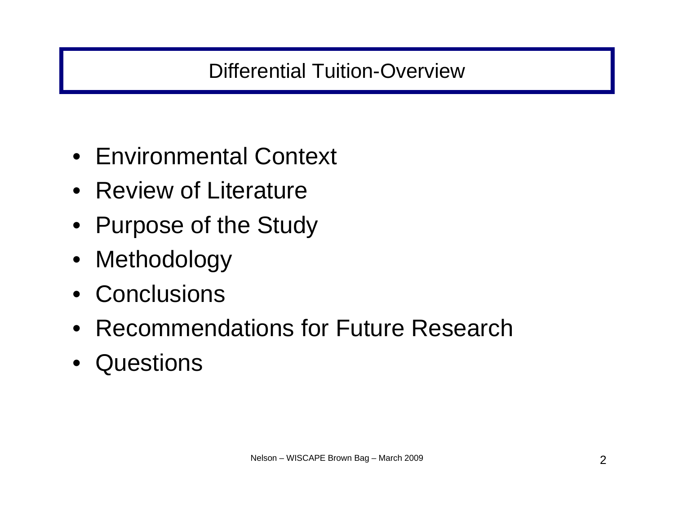# Differential Tuition-Overview

- Environmental Context
- Review of Literature
- Purpose of the Study
- Methodology
- Conclusions
- Recommendations for Future Research
- Questions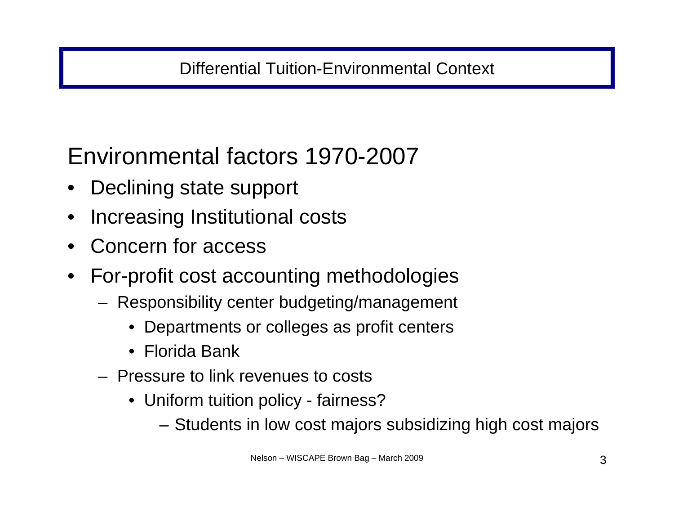# Environmental factors 1970-2007

- •Declining state support
- •Increasing Institutional costs
- •Concern for access
- • For-profit cost accounting methodologies
	- Responsibility center budgeting/management
		- $\bullet$ Departments or colleges as profit centers
		- $\bullet$ Florida Bank
	- Pressure to link revenues to costs
		- Uniform tuition policy fairness?
			- Students in low cost majors subsidizing high cost majors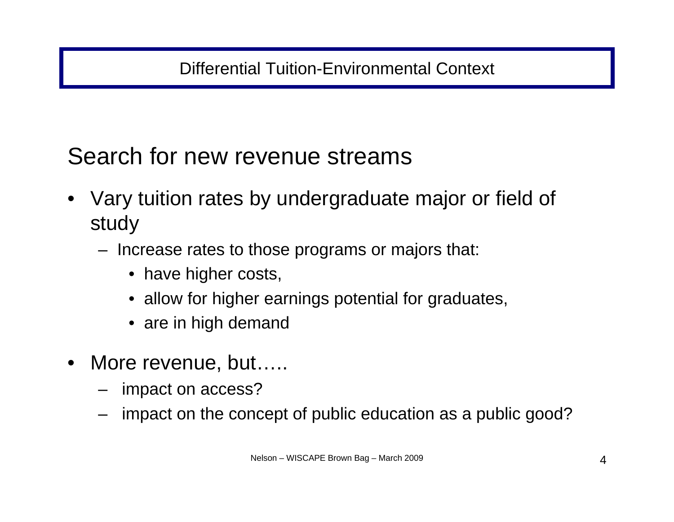## Differential Tuition-Environmental Context

Search for new revenue streams

- Vary tuition rates by undergraduate major or field of study
	- Increase rates to those programs or majors that:
		- have higher costs,
		- allow for higher earnings potential for graduates,
		- are in high demand
- • More revenue, but…..
	- impact on access?
	- impact on the concept of public education as a public good?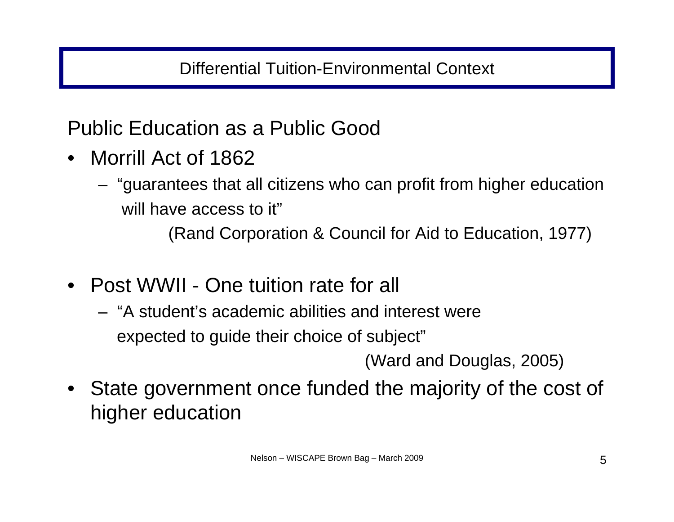## Differential Tuition-Environmental Context

## Public Education as a Public Good

- Morrill Act of 1862
	- "guarantees that all citizens who can profit from higher education will have access to it"

(Rand Corporation & Council for Aid to Education, 1977)

- • Post WWII - One tuition rate for all
	- "A student's academic abilities and interest were expected to guide their choice of subject"

(Ward and Douglas, 2005)

 $\bullet$  State government once funded the majority of the cost of higher education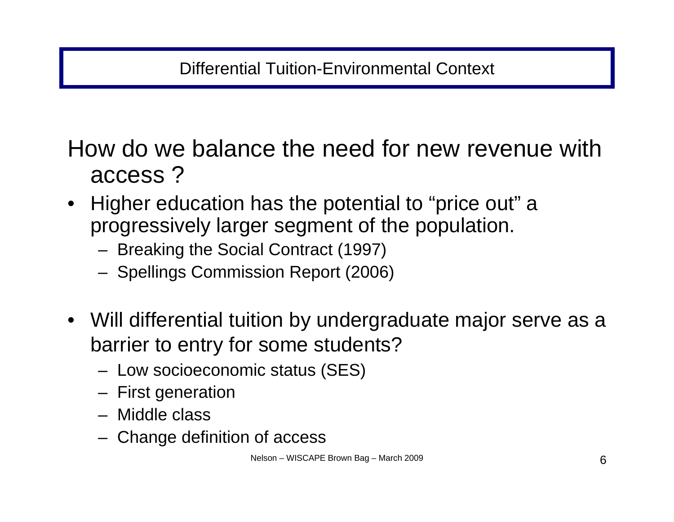How do we balance the need for new revenue with access ?

- • Higher education has the potential to "price out" <sup>a</sup> progressively larger segment of the population.
	- Breaking the Social Contract (1997)
	- Spellings Commission Report (2006)
- Will differential tuition by undergraduate major serve as a barrier to entry for some students?
	- Low socioeconomic status (SES)
	- First generation
	- Middle class
	- Change definition of access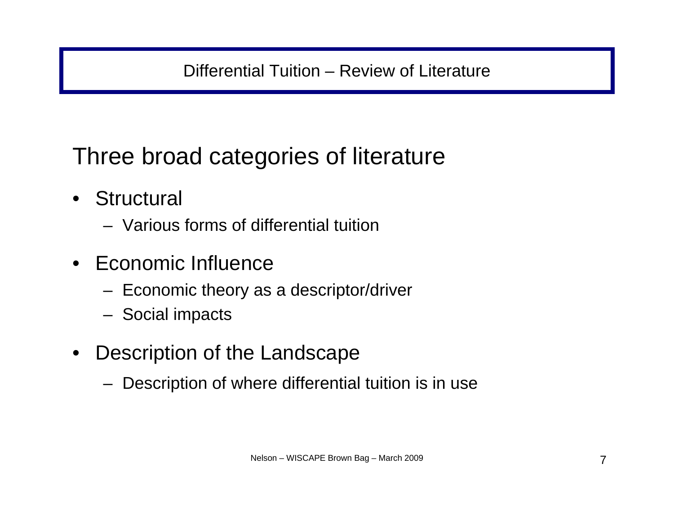## Differential Tuition – Review of Literature

Three broad categories of literature

- Structural
	- Various forms of differential tuition
- $\bullet$  Economic Influence
	- Economic theory as a descriptor/driver
	- Social impacts
- $\bullet$  Description of the Landscape
	- Description of where differential tuition is in use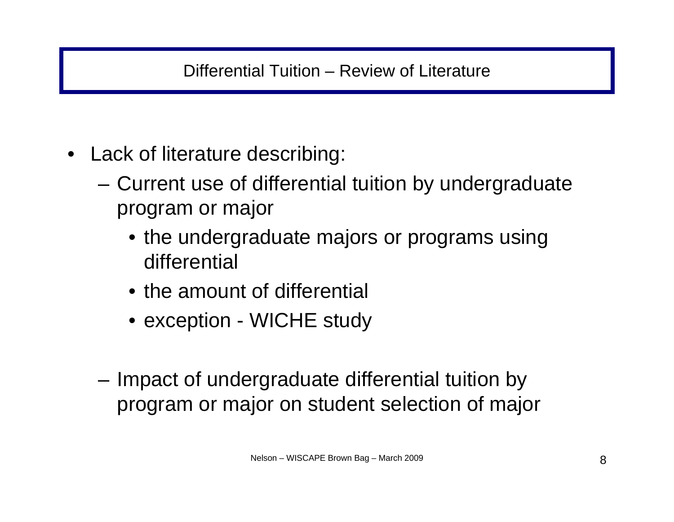- Lack of literature describing:
	- Current use of differential tuition by undergraduate program or major
		- the undergraduate majors or programs using differential
		- the amount of differential
		- exception WICHE study
	- – Impact of undergraduate differential tuition by program or major on student selection of major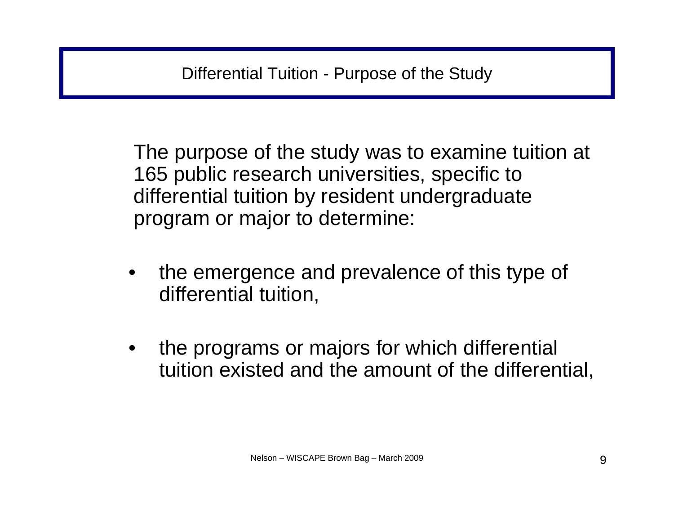The purpose of the study was to examine tuition at 165 public research universities, specific to differential tuition by resident undergraduate program or major to determine:

- • the emergence and prevalence of this type of differential tuition,
- • the programs or majors for which differential tuition existed and the amount of the differential,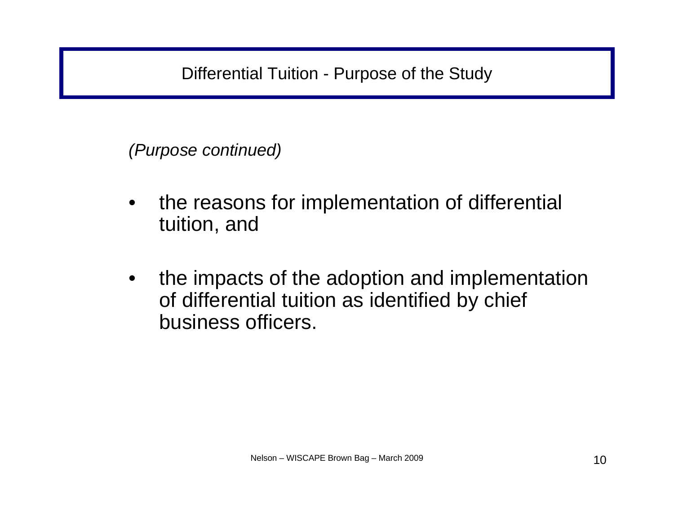*(Purpose continued)*

- $\bullet$  the reasons for implementation of differential tuition, and
- • the impacts of the adoption and implementation of differential tuition as identified by chief business officers.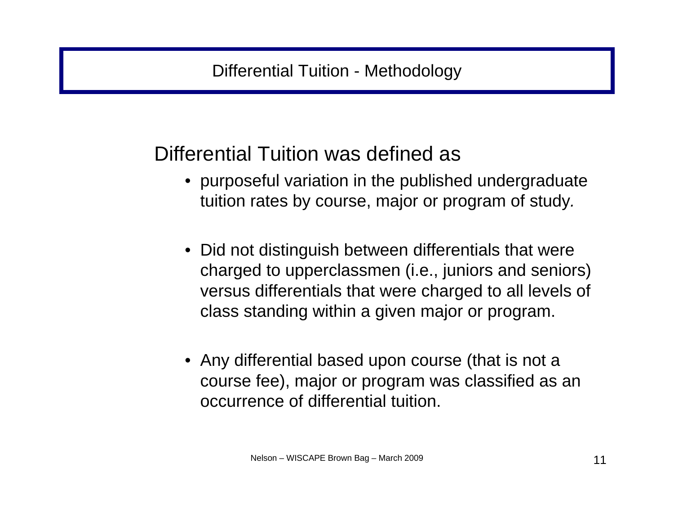# Differential Tuition was defined as

- purposeful variation in the published undergraduate tuition rates by course, major or program of study*.*
- Did not distinguish between differentials that were charged to upperclassmen (i.e., juniors and seniors) versus differentials that were charged to all levels of class standing within a given major or program.
- Any differential based upon course (that is not a course fee), major or program was classified as an occurrence of differential tuition.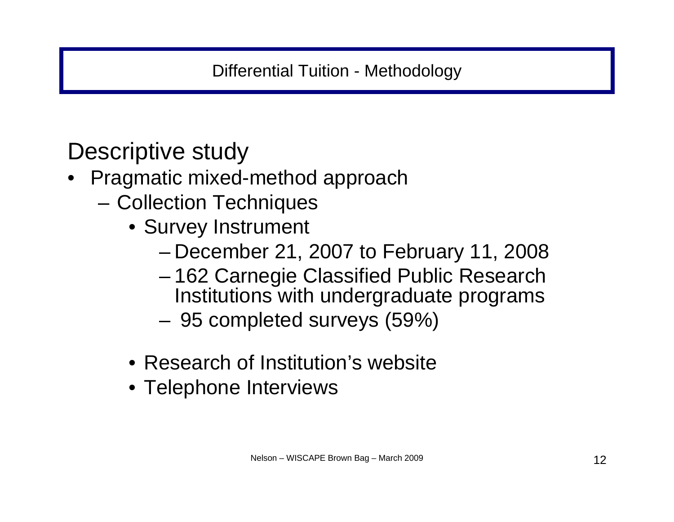Descriptive study

- Pragmatic mixed-method approach
	- Collection Techniques
		- Survey Instrument
			- December 21, 2007 to February 11, 2008
			- – 162 Carnegie Classified Public Research Institutions with undergraduate programs
			- 95 completed surveys (59%)
		- Research of Institution's website
		- Telephone Interviews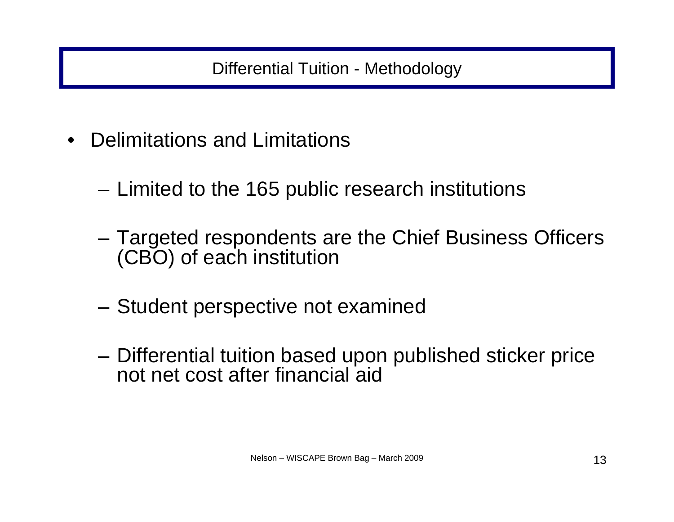Differential Tuition - Methodology

- • Delimitations and Limitations
	- –Limited to the 165 public research institutions
	- Targeted respondents are the Chief Business Officers (CBO) of each institution
	- –Student perspective not examined
	- Differential tuition based upon published sticker price not net cost after financial aid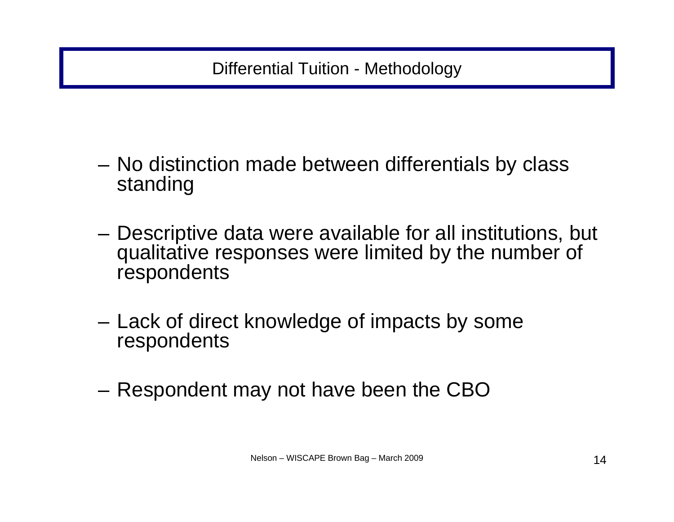- No distinction made between differentials by class standing
- – Descriptive data were available for all institutions, but qualitative responses were limited by the number of respondents
- – Lack of direct knowledge of impacts by some respondents
- Respondent may not have been the CBO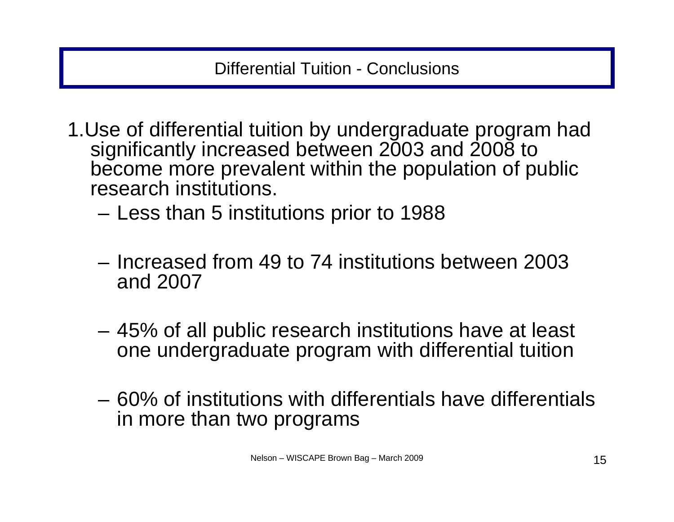- 1.Use of differential tuition by undergraduate program had significantly increased between 2003 and 2008 to become more prevalent within the population of public research institutions.
	- Less than 5 institutions prior to 1988
	- Increased from 49 to 74 institutions between 2003 and 2007
	- 45% of all public research institutions have at least one undergraduate program with differential tuition
	- 60% of institutions with differentials have differentials in more than two programs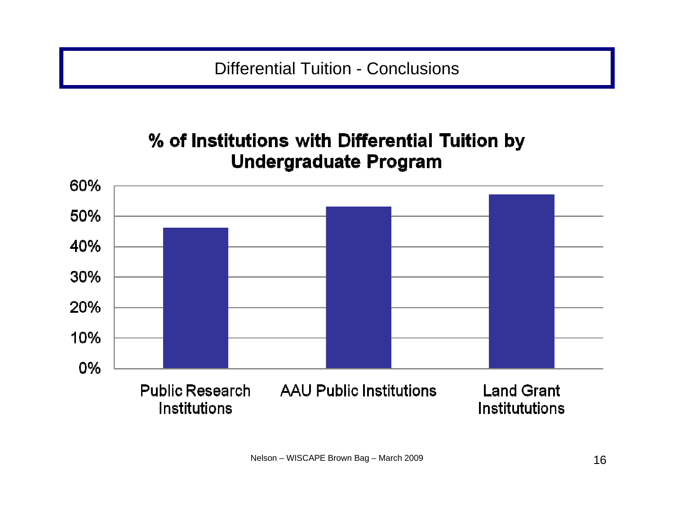## % of Institutions with Differential Tuition by **Undergraduate Program**

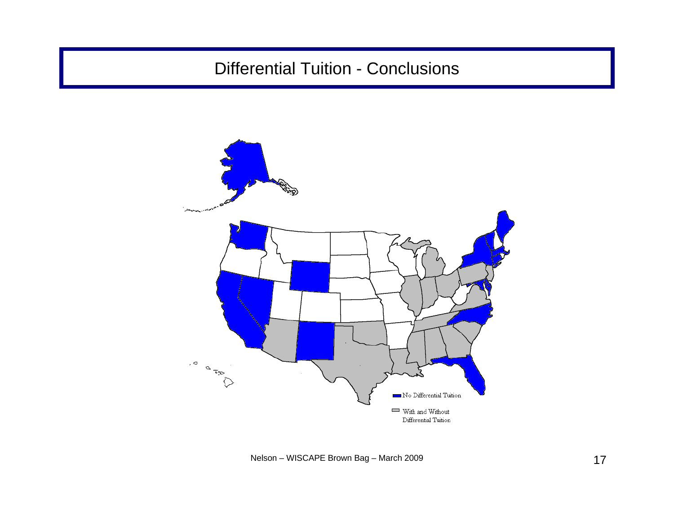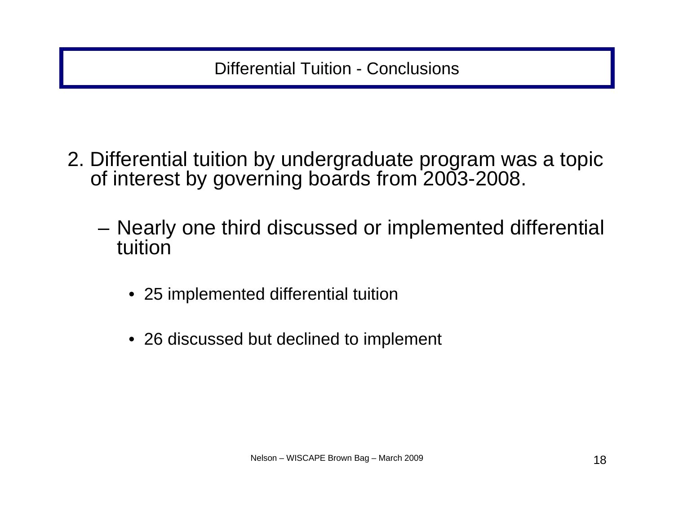- 2. Differential tuition by undergraduate program was a topic of interest by governing boards from 2003-2008.
	- – Nearly one third discussed or implemented differential tuition
		- 25 implemented differential tuition
		- 26 discussed but declined to implement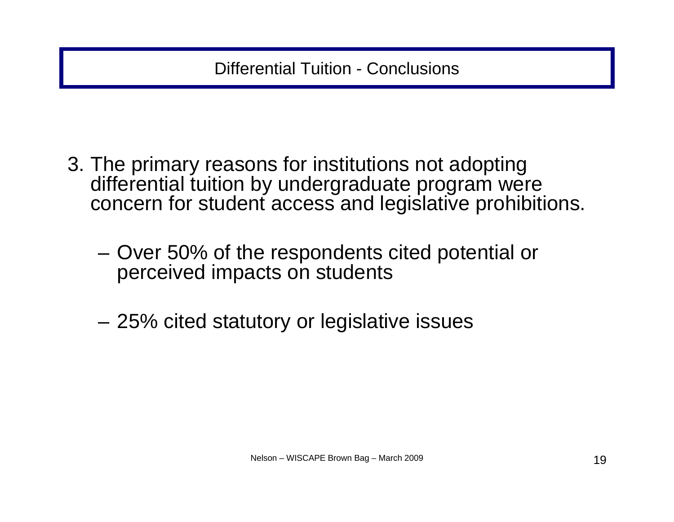- 3. The primary reasons for institutions not adopting differential tuition by undergraduate program were concern for student access and legislative prohibitions.
	- Over 50% of the respondents cited potential or perceived impacts on students
	- –25% cited statutory or legislative issues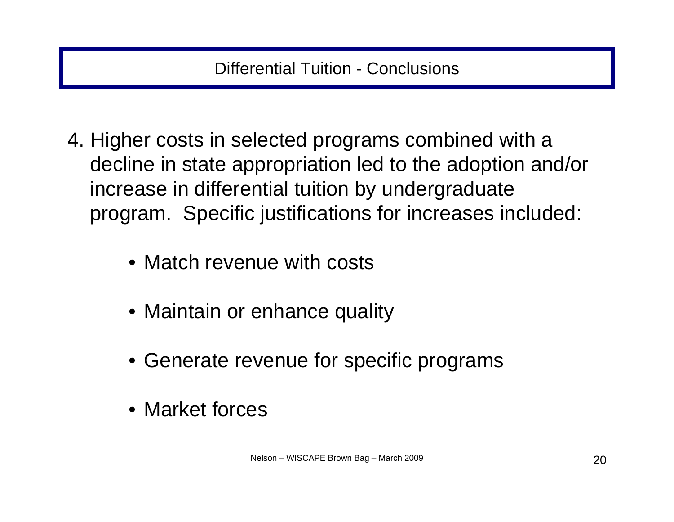- 4. Higher costs in selected programs combined with a decline in state appropriation led to the adoption and/or increase in differential tuition by undergraduate program. Specific justifications for increases included:
	- Match revenue with costs
	- Maintain or enhance quality
	- Generate revenue for specific programs
	- Market forces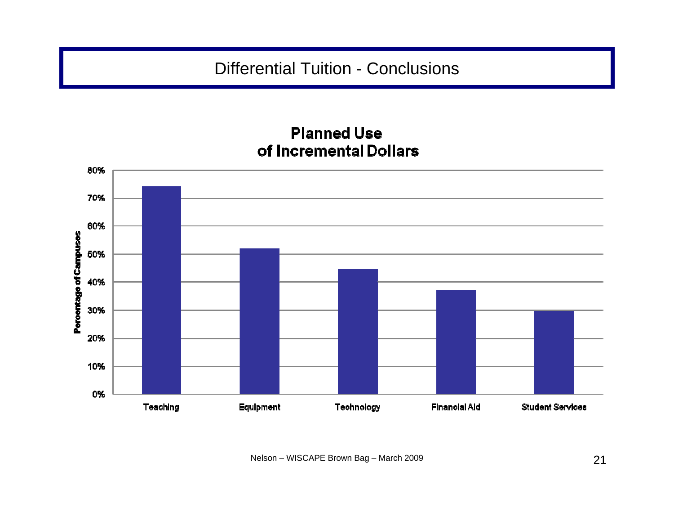#### **Planned Use** of Incremental Dollars

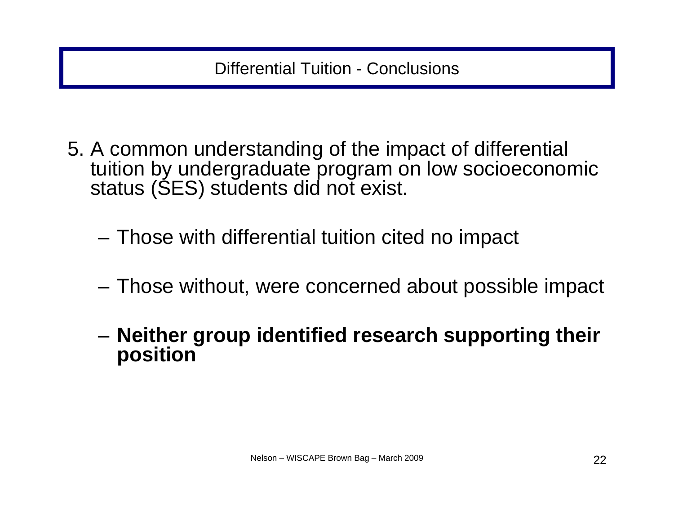- 5. A common understanding of the impact of differential tuition by undergraduate program on low socioeconomic status (SES) students did not exist.
	- Those with differential tuition cited no impact
	- Those without, were concerned about possible impact
	- – **Neither group identified research supporting their position**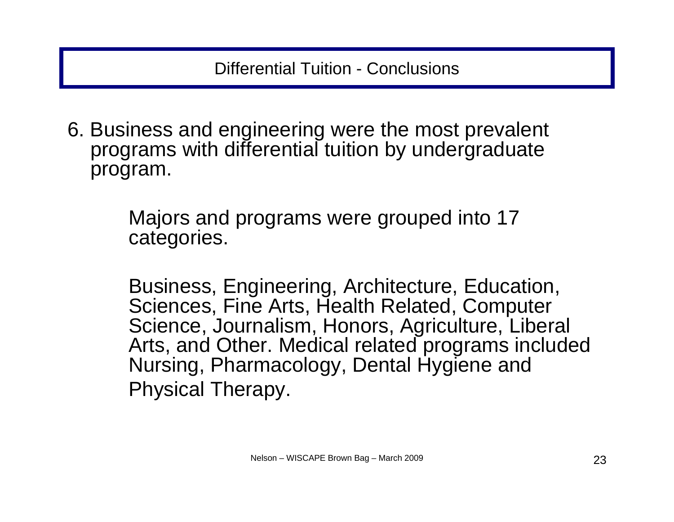6. Business and engineering were the most prevalent programs with differential tuition by undergraduate program.

> Majors and programs were grouped into 17 categories.

Business, Engineering, Architecture, Education, Sciences, Fine Arts, Health Related, Computer Science, Journalism, Honors, Agriculture, Liberal Arts, and Other. Medical related programs included Nursing, Pharmacology, Dental Hygiene and Physical Therapy.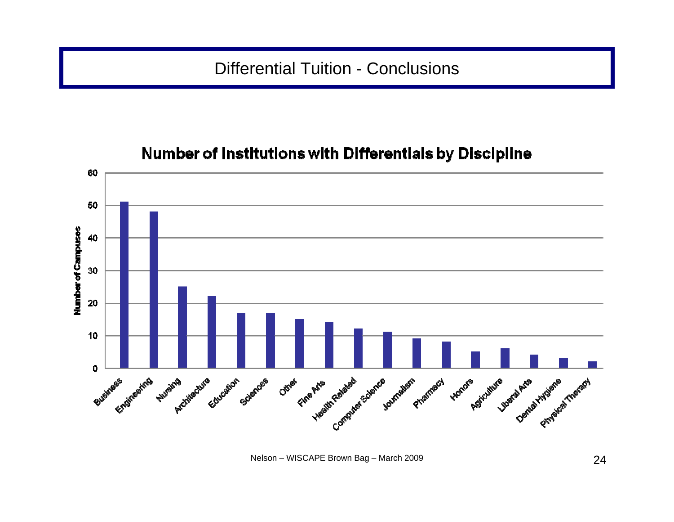#### 60 50 **Number of Campuses** 40 30 20 10 **Atlas Avis Control Science Jour**  $\mathbf 0$ Engineering Journalism Business Other Phamacy Autrains Artifecture Cucation Sciences Honore Agiculture Dental Hydiene Theract

### **Number of Institutions with Differentials by Discipline**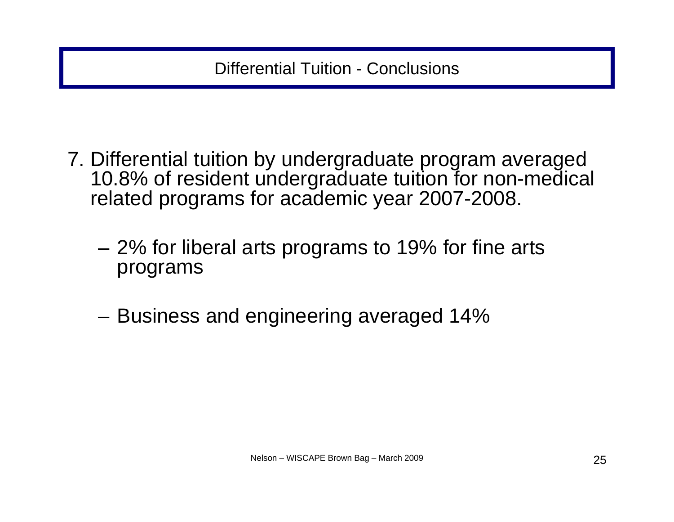- 7. Differential tuition by undergraduate program averaged 10.8% of resident undergraduate tuition for non-medical related programs for academic year 2007-2008.
	- 2% for liberal arts programs to 19% for fine arts programs
	- –Business and engineering averaged 14%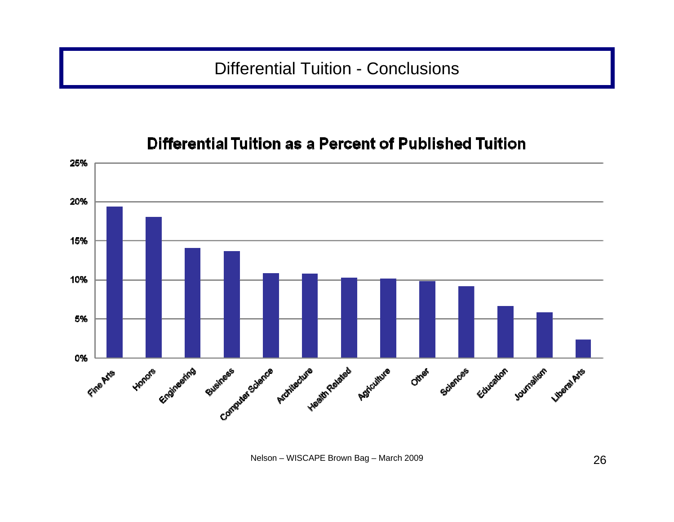#### Differential Tuition as a Percent of Published Tuition

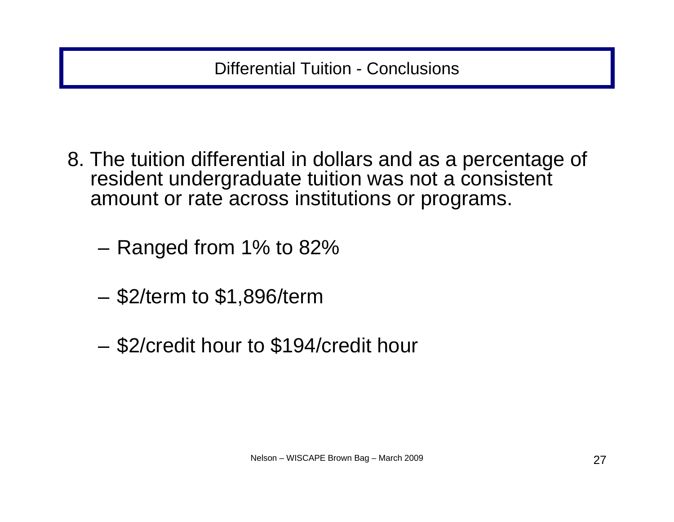- 8. The tuition differential in dollars and as a percentage of resident undergraduate tuition was not a consistent amount or rate across institutions or programs.
	- Ranged from 1% to 82%
	- \$2/term to \$1,896/term
	- –\$2/credit hour to \$194/credit hour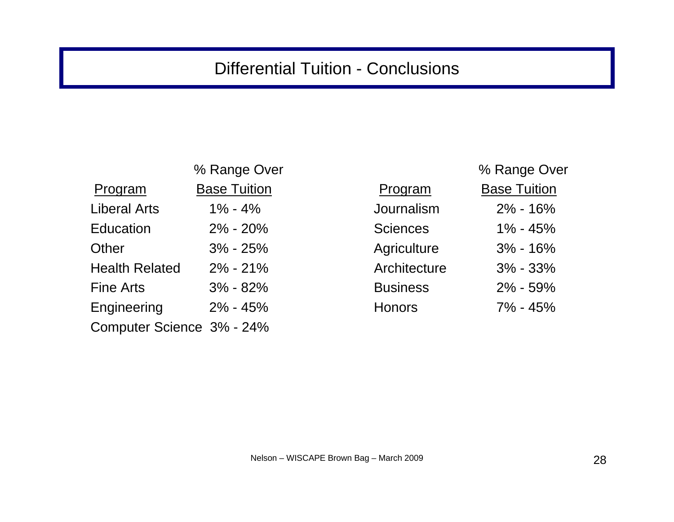| % Range Over              |                 | % Range Ov          |
|---------------------------|-----------------|---------------------|
| <b>Base Tuition</b>       | Program         | <b>Base Tuition</b> |
| $1\% - 4\%$               | Journalism      | 2% - 16%            |
| $2\%$ - $20\%$            | <b>Sciences</b> | 1% - 45%            |
| $3\% - 25\%$              | Agriculture     | $3\%$ - 16%         |
| $2\% - 21\%$              | Architecture    | 3% - 33%            |
| $3\% - 82\%$              | <b>Business</b> | 2% - 59%            |
| $2\% - 45\%$              | <b>Honors</b>   | 7% - 45%            |
| Computer Science 3% - 24% |                 |                     |
|                           |                 |                     |

|                       | % Range Over        |                 | % Range Over        |
|-----------------------|---------------------|-----------------|---------------------|
| Program               | <b>Base Tuition</b> | Program         | <b>Base Tuition</b> |
| Liberal Arts          | $1\% - 4\%$         | Journalism      | $2\% - 16\%$        |
| Education             | $2\% - 20\%$        | <b>Sciences</b> | $1\% - 45\%$        |
| Other                 | $3\% - 25\%$        | Agriculture     | $3\% - 16\%$        |
| <b>Health Related</b> | $2\% - 21\%$        | Architecture    | $3\% - 33\%$        |
| Fine Arts             | $3\% - 82\%$        | <b>Business</b> | $2\% - 59\%$        |
| Engineering           | $2\% - 45\%$        | <b>Honors</b>   | 7% - 45%            |
|                       |                     |                 |                     |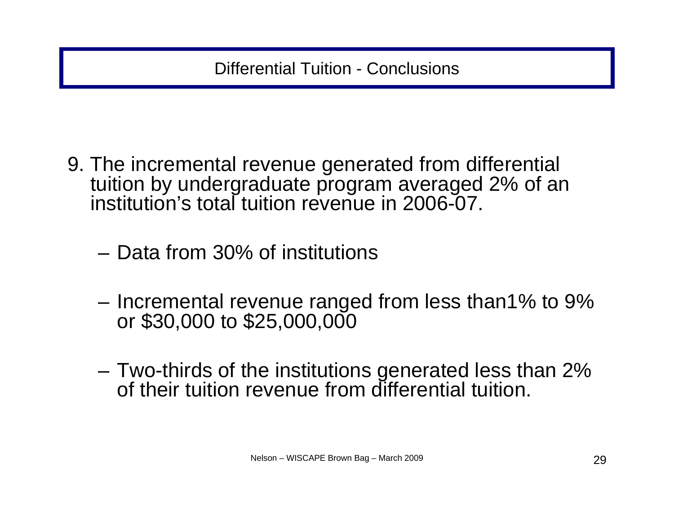- 9. The incremental revenue generated from differential tuition by undergraduate program averaged 2% of an institution's total tuition revenue in 2006-07.
	- Data from 30% of institutions
	- Incremental revenue ranged from less than1% to 9%<br>or \$30,000 to \$25,000,000
	- Two-thirds of the institutions generated less than 2% of their tuition revenue from differential tuition.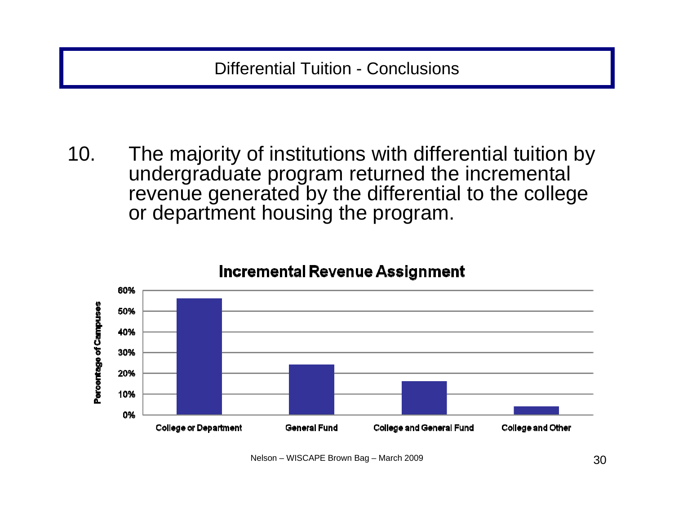10. The majority of institutions with differential tuition by undergraduate program returned the incremental revenue generated by the differential to the college or department housing the program.



#### **Incremental Revenue Assignment**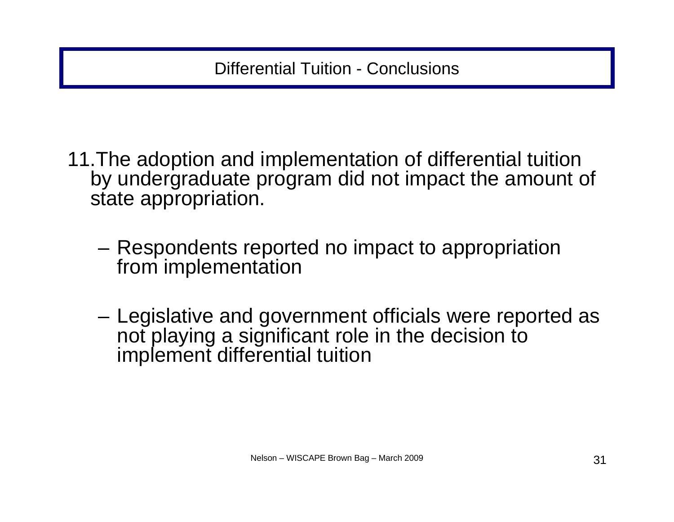- 11.The adoption and implementation of differential tuition by undergraduate program did not impact the amount of state appropriation.
	- Respondents reported no impact to appropriation from implementation
	- – Legislative and government officials were reported as not playing a significant role in the decision to implement differential tuition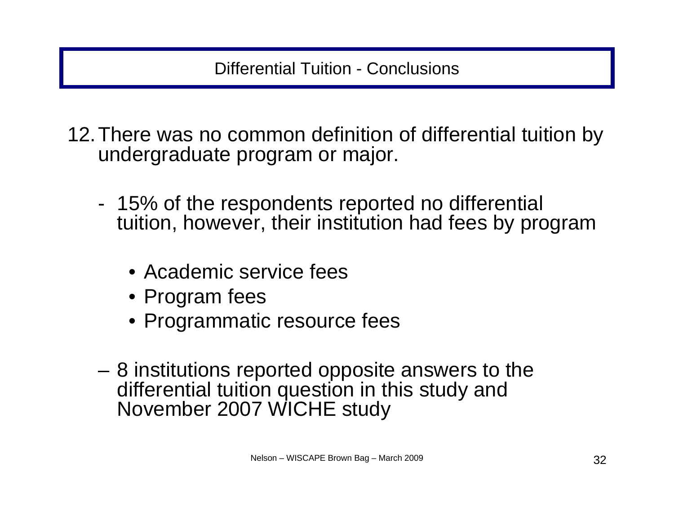- 12.There was no common definition of differential tuition by undergraduate program or major.
	- - 15% of the respondents reported no differential tuition, however, their institution had fees by program
		- Academic service fees
		- Program fees
		- Programmatic resource fees
	- 8 institutions reported opposite answers to the differential tuition question in this study and November 2007 WICHE study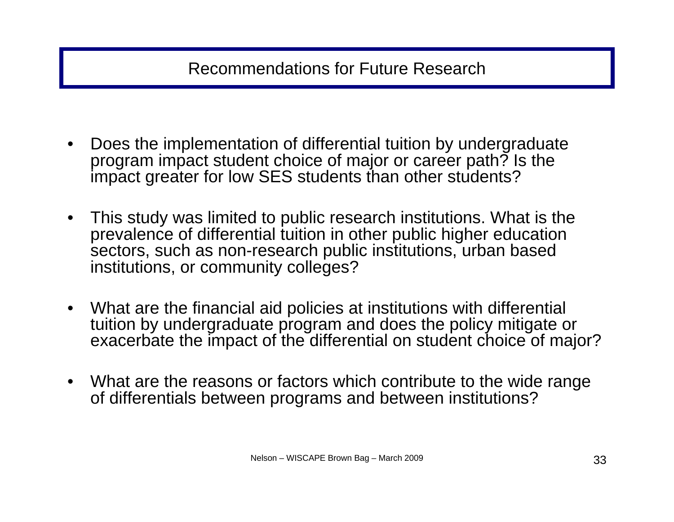Recommendations for Future Research

- $\bullet$  Does the implementation of differential tuition by undergraduate program impact student choice of major or career path? Is the impact greater for low SES students than other students?
- $\bullet$  This study was limited to public research institutions. What is the prevalence of differential tuition in other public higher education sectors, such as non-research public institutions, urban based institutions, or community colleges?
- What are the financial aid policies at institutions with differential tuition by undergraduate program and does the policy mitigate or exacerbate the impact of the differential on student choice of major?
- What are the reasons or factors which contribute to the wide range of differentials between programs and between institutions?